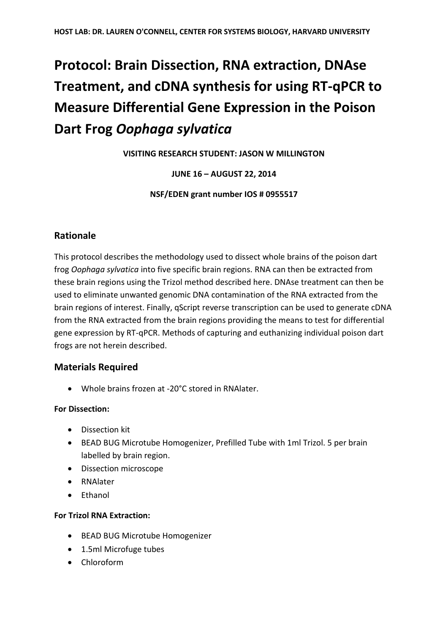# **Protocol: Brain Dissection, RNA extraction, DNAse Treatment, and cDNA synthesis for using RT-qPCR to Measure Differential Gene Expression in the Poison Dart Frog** *Oophaga sylvatica*

**VISITING RESEARCH STUDENT: JASON W MILLINGTON**

## **JUNE 16 – AUGUST 22, 2014**

**NSF/EDEN grant number IOS # 0955517**

# **Rationale**

This protocol describes the methodology used to dissect whole brains of the poison dart frog *Oophaga sylvatica* into five specific brain regions. RNA can then be extracted from these brain regions using the Trizol method described here. DNAse treatment can then be used to eliminate unwanted genomic DNA contamination of the RNA extracted from the brain regions of interest. Finally, qScript reverse transcription can be used to generate cDNA from the RNA extracted from the brain regions providing the means to test for differential gene expression by RT-qPCR. Methods of capturing and euthanizing individual poison dart frogs are not herein described.

## **Materials Required**

Whole brains frozen at -20°C stored in RNAlater.

#### **For Dissection:**

- **•** Dissection kit
- BEAD BUG Microtube Homogenizer, Prefilled Tube with 1ml Trizol. 5 per brain labelled by brain region.
- Dissection microscope
- RNAlater
- Fthanol

#### **For Trizol RNA Extraction:**

- BEAD BUG Microtube Homogenizer
- 1.5ml Microfuge tubes
- Chloroform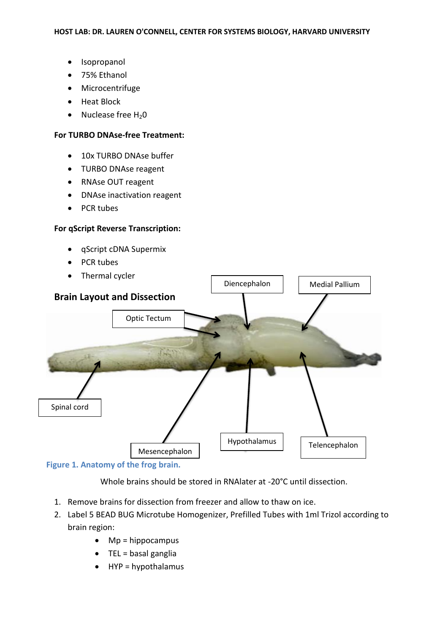- Isopropanol
- 75% Ethanol
- Microcentrifuge
- Heat Block
- Nuclease free  $H_2O$

#### **For TURBO DNAse-free Treatment:**

- 10x TURBO DNAse buffer
- TURBO DNAse reagent
- RNAse OUT reagent
- DNAse inactivation reagent
- PCR tubes

#### **For qScript Reverse Transcription:**

- qScript cDNA Supermix
- PCR tubes
- Thermal cycler



**Figure 1. Anatomy of the frog brain.**

Whole brains should be stored in RNAlater at -20°C until dissection.

- 1. Remove brains for dissection from freezer and allow to thaw on ice.
- 2. Label 5 BEAD BUG Microtube Homogenizer, Prefilled Tubes with 1ml Trizol according to brain region:
	- $\bullet$  Mp = hippocampus
	- $\bullet$  TEL = basal ganglia
	- $\bullet$  HYP = hypothalamus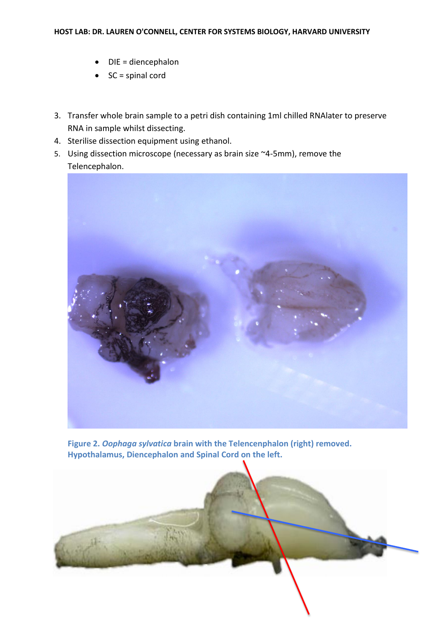- DIE = diencephalon
- $\bullet$  SC = spinal cord
- 3. Transfer whole brain sample to a petri dish containing 1ml chilled RNAlater to preserve RNA in sample whilst dissecting.
- 4. Sterilise dissection equipment using ethanol.
- 5. Using dissection microscope (necessary as brain size ~4-5mm), remove the Telencephalon.



**Figure 2.** *Oophaga sylvatica* **brain with the Telencenphalon (right) removed. Hypothalamus, Diencephalon and Spinal Cord on the left.**

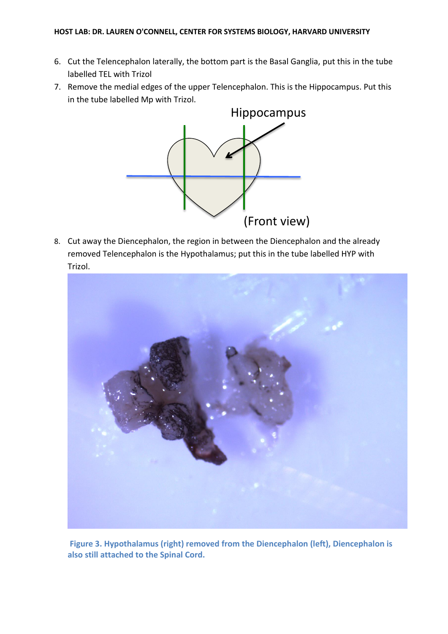- 6. Cut the Telencephalon laterally, the bottom part is the Basal Ganglia, put this in the tube labelled TEL with Trizol
- 7. Remove the medial edges of the upper Telencephalon. This is the Hippocampus. Put this in the tube labelled Mp with Trizol.



8. Cut away the Diencephalon, the region in between the Diencephalon and the already removed Telencephalon is the Hypothalamus; put this in the tube labelled HYP with Trizol.



**Figure 3. Hypothalamus (right) removed from the Diencephalon (left), Diencephalon is also still attached to the Spinal Cord.**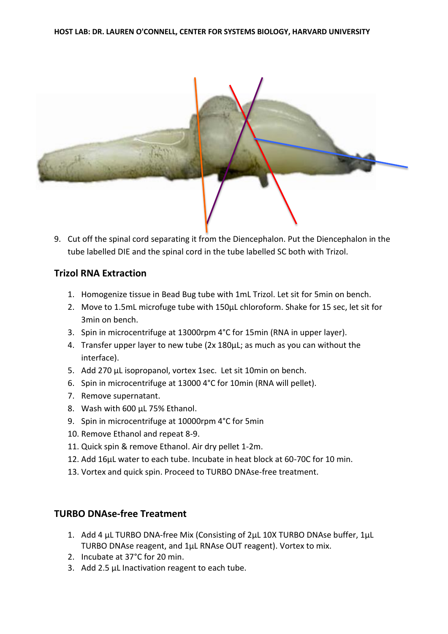

9. Cut off the spinal cord separating it from the Diencephalon. Put the Diencephalon in the tube labelled DIE and the spinal cord in the tube labelled SC both with Trizol.

#### **Trizol RNA Extraction**

- 1. Homogenize tissue in Bead Bug tube with 1mL Trizol. Let sit for 5min on bench.
- 2. Move to 1.5mL microfuge tube with 150μL chloroform. Shake for 15 sec, let sit for 3min on bench.
- 3. Spin in microcentrifuge at 13000rpm 4°C for 15min (RNA in upper layer).
- 4. Transfer upper layer to new tube (2x 180μL; as much as you can without the interface).
- 5. Add 270 μL isopropanol, vortex 1sec. Let sit 10min on bench.
- 6. Spin in microcentrifuge at 13000 4°C for 10min (RNA will pellet).
- 7. Remove supernatant.
- 8. Wash with 600 μL 75% Ethanol.
- 9. Spin in microcentrifuge at 10000rpm 4°C for 5min
- 10. Remove Ethanol and repeat 8-9.
- 11. Quick spin & remove Ethanol. Air dry pellet 1-2m.
- 12. Add 16μL water to each tube. Incubate in heat block at 60-70C for 10 min.
- 13. Vortex and quick spin. Proceed to TURBO DNAse-free treatment.

## **TURBO DNAse-free Treatment**

- 1. Add 4 μL TURBO DNA-free Mix (Consisting of 2μL 10X TURBO DNAse buffer, 1μL TURBO DNAse reagent, and 1μL RNAse OUT reagent). Vortex to mix.
- 2. Incubate at 37°C for 20 min.
- 3. Add 2.5 μL Inactivation reagent to each tube.